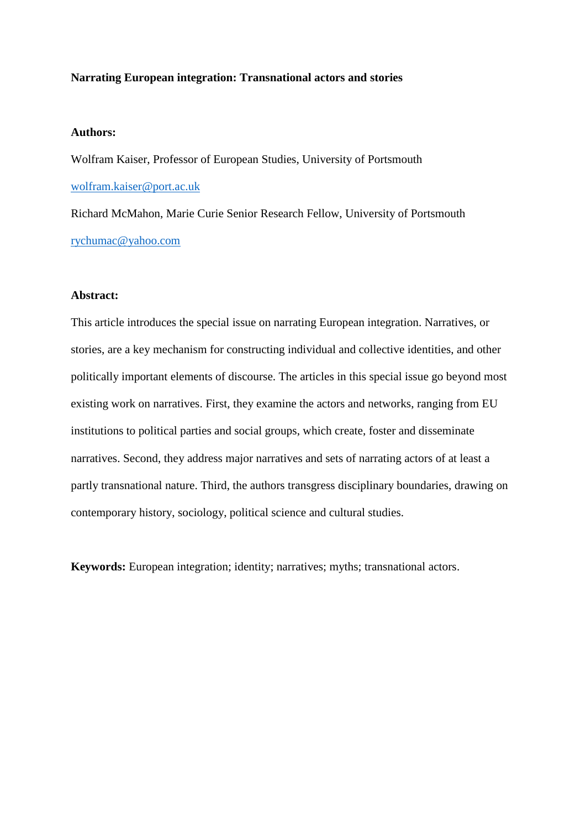## **Narrating European integration: Transnational actors and stories**

# **Authors:**

Wolfram Kaiser, Professor of European Studies, University of Portsmouth [wolfram.kaiser@port.ac.uk](mailto:wolfram.kaiser@port.ac.uk)

Richard McMahon, Marie Curie Senior Research Fellow, University of Portsmouth [rychumac@yahoo.com](mailto:rychumac@yahoo.com)

# **Abstract:**

This article introduces the special issue on narrating European integration. Narratives, or stories, are a key mechanism for constructing individual and collective identities, and other politically important elements of discourse. The articles in this special issue go beyond most existing work on narratives. First, they examine the actors and networks, ranging from EU institutions to political parties and social groups, which create, foster and disseminate narratives. Second, they address major narratives and sets of narrating actors of at least a partly transnational nature. Third, the authors transgress disciplinary boundaries, drawing on contemporary history, sociology, political science and cultural studies.

**Keywords:** European integration; identity; narratives; myths; transnational actors.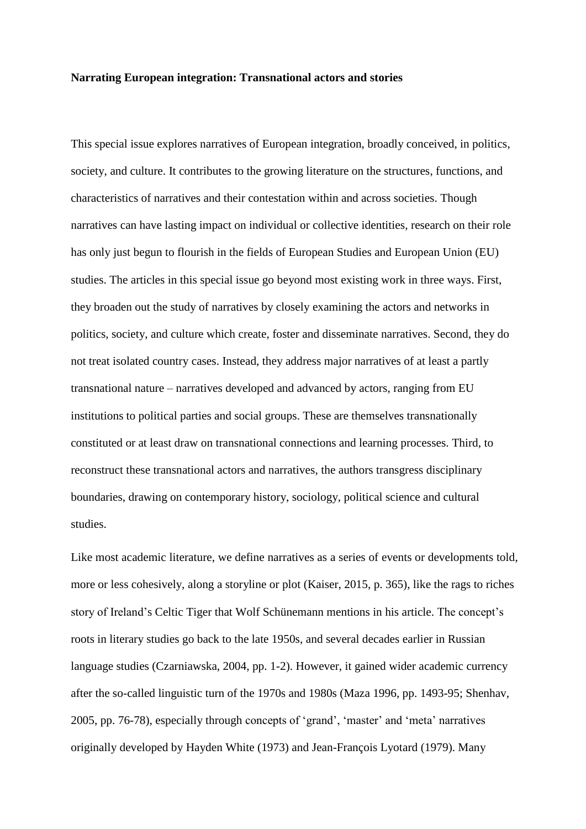### **Narrating European integration: Transnational actors and stories**

This special issue explores narratives of European integration, broadly conceived, in politics, society, and culture. It contributes to the growing literature on the structures, functions, and characteristics of narratives and their contestation within and across societies. Though narratives can have lasting impact on individual or collective identities, research on their role has only just begun to flourish in the fields of European Studies and European Union (EU) studies. The articles in this special issue go beyond most existing work in three ways. First, they broaden out the study of narratives by closely examining the actors and networks in politics, society, and culture which create, foster and disseminate narratives. Second, they do not treat isolated country cases. Instead, they address major narratives of at least a partly transnational nature – narratives developed and advanced by actors, ranging from EU institutions to political parties and social groups. These are themselves transnationally constituted or at least draw on transnational connections and learning processes. Third, to reconstruct these transnational actors and narratives, the authors transgress disciplinary boundaries, drawing on contemporary history, sociology, political science and cultural studies.

Like most academic literature, we define narratives as a series of events or developments told, more or less cohesively, along a storyline or plot (Kaiser, 2015, p. 365), like the rags to riches story of Ireland's Celtic Tiger that Wolf Schünemann mentions in his article. The concept's roots in literary studies go back to the late 1950s, and several decades earlier in Russian language studies (Czarniawska, 2004, pp. 1-2). However, it gained wider academic currency after the so-called linguistic turn of the 1970s and 1980s (Maza 1996, pp. 1493-95; Shenhav, 2005, pp. 76-78), especially through concepts of 'grand', 'master' and 'meta' narratives originally developed by Hayden White (1973) and Jean-François Lyotard (1979). Many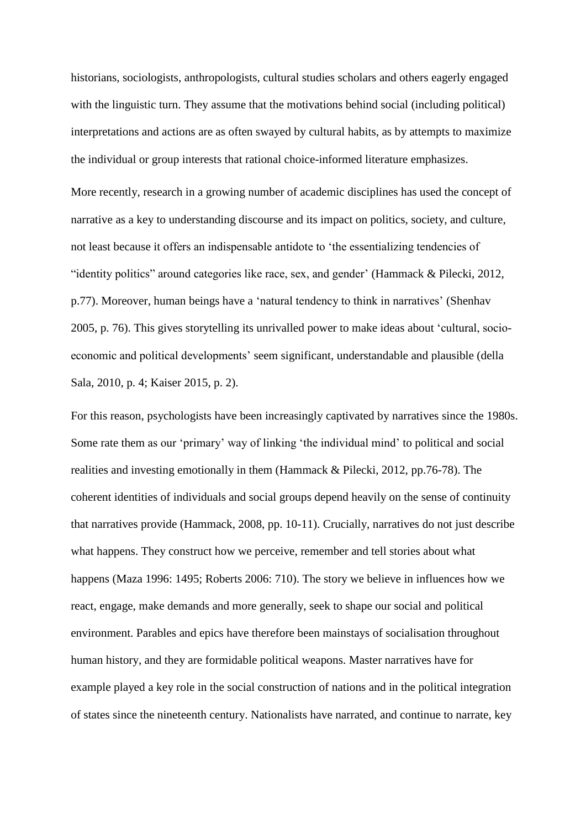historians, sociologists, anthropologists, cultural studies scholars and others eagerly engaged with the linguistic turn. They assume that the motivations behind social (including political) interpretations and actions are as often swayed by cultural habits, as by attempts to maximize the individual or group interests that rational choice-informed literature emphasizes.

More recently, research in a growing number of academic disciplines has used the concept of narrative as a key to understanding discourse and its impact on politics, society, and culture, not least because it offers an indispensable antidote to 'the essentializing tendencies of "identity politics" around categories like race, sex, and gender' (Hammack & Pilecki, 2012, p.77). Moreover, human beings have a 'natural tendency to think in narratives' (Shenhav 2005, p. 76). This gives storytelling its unrivalled power to make ideas about 'cultural, socioeconomic and political developments' seem significant, understandable and plausible (della Sala, 2010, p. 4; Kaiser 2015, p. 2).

For this reason, psychologists have been increasingly captivated by narratives since the 1980s. Some rate them as our 'primary' way of linking 'the individual mind' to political and social realities and investing emotionally in them (Hammack & Pilecki, 2012, pp.76-78). The coherent identities of individuals and social groups depend heavily on the sense of continuity that narratives provide (Hammack, 2008, pp. 10-11). Crucially, narratives do not just describe what happens. They construct how we perceive, remember and tell stories about what happens (Maza 1996: 1495; Roberts 2006: 710). The story we believe in influences how we react, engage, make demands and more generally, seek to shape our social and political environment. Parables and epics have therefore been mainstays of socialisation throughout human history, and they are formidable political weapons. Master narratives have for example played a key role in the social construction of nations and in the political integration of states since the nineteenth century. Nationalists have narrated, and continue to narrate, key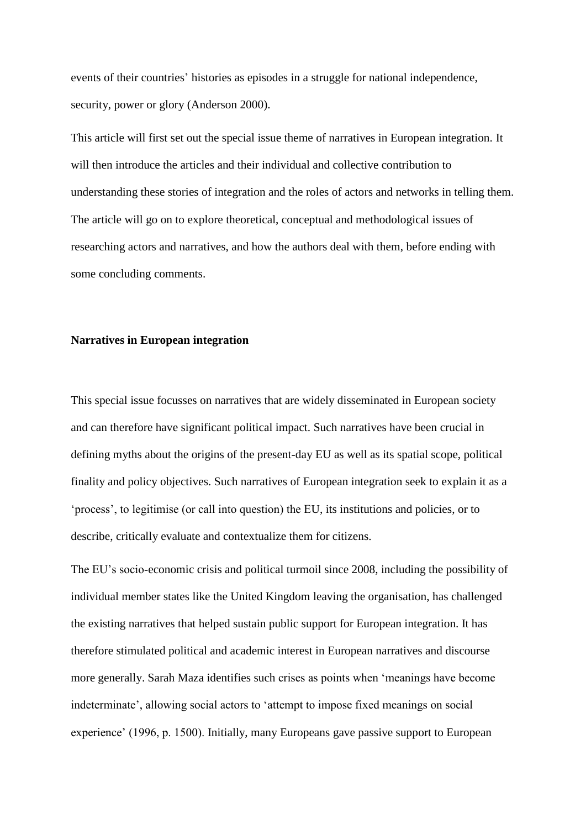events of their countries' histories as episodes in a struggle for national independence, security, power or glory (Anderson 2000).

This article will first set out the special issue theme of narratives in European integration. It will then introduce the articles and their individual and collective contribution to understanding these stories of integration and the roles of actors and networks in telling them. The article will go on to explore theoretical, conceptual and methodological issues of researching actors and narratives, and how the authors deal with them, before ending with some concluding comments.

# **Narratives in European integration**

This special issue focusses on narratives that are widely disseminated in European society and can therefore have significant political impact. Such narratives have been crucial in defining myths about the origins of the present-day EU as well as its spatial scope, political finality and policy objectives. Such narratives of European integration seek to explain it as a 'process', to legitimise (or call into question) the EU, its institutions and policies, or to describe, critically evaluate and contextualize them for citizens.

The EU's socio-economic crisis and political turmoil since 2008, including the possibility of individual member states like the United Kingdom leaving the organisation, has challenged the existing narratives that helped sustain public support for European integration. It has therefore stimulated political and academic interest in European narratives and discourse more generally. Sarah Maza identifies such crises as points when 'meanings have become indeterminate', allowing social actors to 'attempt to impose fixed meanings on social experience' (1996, p. 1500). Initially, many Europeans gave passive support to European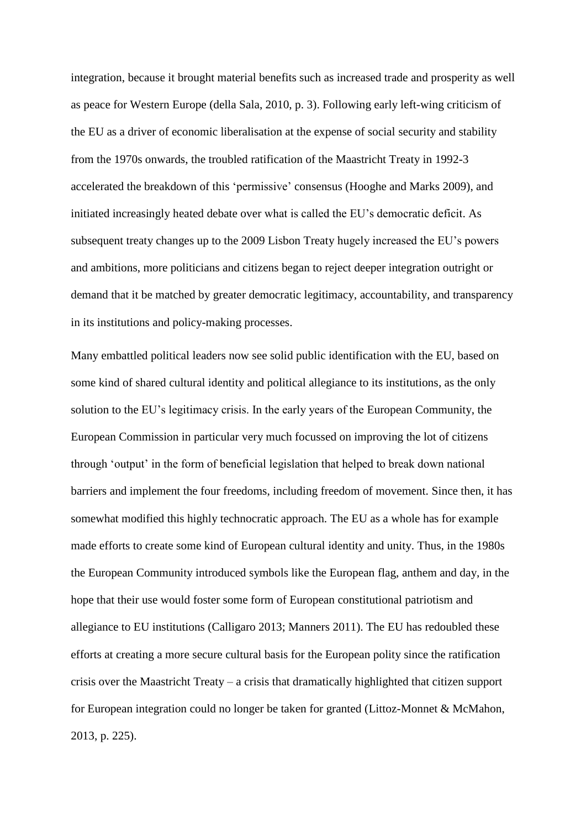integration, because it brought material benefits such as increased trade and prosperity as well as peace for Western Europe (della Sala, 2010, p. 3). Following early left-wing criticism of the EU as a driver of economic liberalisation at the expense of social security and stability from the 1970s onwards, the troubled ratification of the Maastricht Treaty in 1992-3 accelerated the breakdown of this 'permissive' consensus (Hooghe and Marks 2009), and initiated increasingly heated debate over what is called the EU's democratic deficit. As subsequent treaty changes up to the 2009 Lisbon Treaty hugely increased the EU's powers and ambitions, more politicians and citizens began to reject deeper integration outright or demand that it be matched by greater democratic legitimacy, accountability, and transparency in its institutions and policy-making processes.

Many embattled political leaders now see solid public identification with the EU, based on some kind of shared cultural identity and political allegiance to its institutions, as the only solution to the EU's legitimacy crisis. In the early years of the European Community, the European Commission in particular very much focussed on improving the lot of citizens through 'output' in the form of beneficial legislation that helped to break down national barriers and implement the four freedoms, including freedom of movement. Since then, it has somewhat modified this highly technocratic approach. The EU as a whole has for example made efforts to create some kind of European cultural identity and unity. Thus, in the 1980s the European Community introduced symbols like the European flag, anthem and day, in the hope that their use would foster some form of European constitutional patriotism and allegiance to EU institutions (Calligaro 2013; Manners 2011). The EU has redoubled these efforts at creating a more secure cultural basis for the European polity since the ratification crisis over the Maastricht Treaty – a crisis that dramatically highlighted that citizen support for European integration could no longer be taken for granted (Littoz-Monnet & McMahon, 2013, p. 225).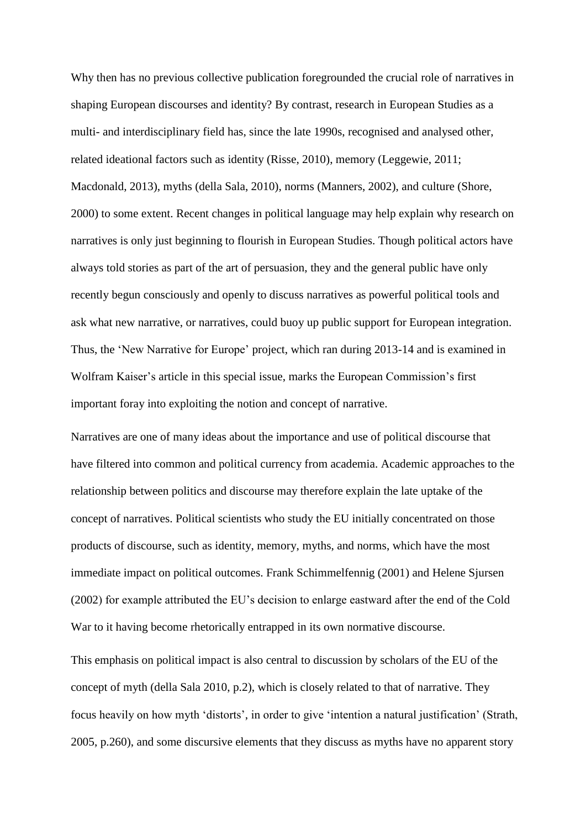Why then has no previous collective publication foregrounded the crucial role of narratives in shaping European discourses and identity? By contrast, research in European Studies as a multi- and interdisciplinary field has, since the late 1990s, recognised and analysed other, related ideational factors such as identity (Risse, 2010), memory (Leggewie, 2011; Macdonald, 2013), myths (della Sala, 2010), norms (Manners, 2002), and culture (Shore, 2000) to some extent. Recent changes in political language may help explain why research on narratives is only just beginning to flourish in European Studies. Though political actors have always told stories as part of the art of persuasion, they and the general public have only recently begun consciously and openly to discuss narratives as powerful political tools and ask what new narrative, or narratives, could buoy up public support for European integration. Thus, the 'New Narrative for Europe' project, which ran during 2013-14 and is examined in Wolfram Kaiser's article in this special issue, marks the European Commission's first important foray into exploiting the notion and concept of narrative.

Narratives are one of many ideas about the importance and use of political discourse that have filtered into common and political currency from academia. Academic approaches to the relationship between politics and discourse may therefore explain the late uptake of the concept of narratives. Political scientists who study the EU initially concentrated on those products of discourse, such as identity, memory, myths, and norms, which have the most immediate impact on political outcomes. Frank Schimmelfennig (2001) and Helene Sjursen (2002) for example attributed the EU's decision to enlarge eastward after the end of the Cold War to it having become rhetorically entrapped in its own normative discourse.

This emphasis on political impact is also central to discussion by scholars of the EU of the concept of myth (della Sala 2010, p.2), which is closely related to that of narrative. They focus heavily on how myth 'distorts', in order to give 'intention a natural justification' (Strath, 2005, p.260), and some discursive elements that they discuss as myths have no apparent story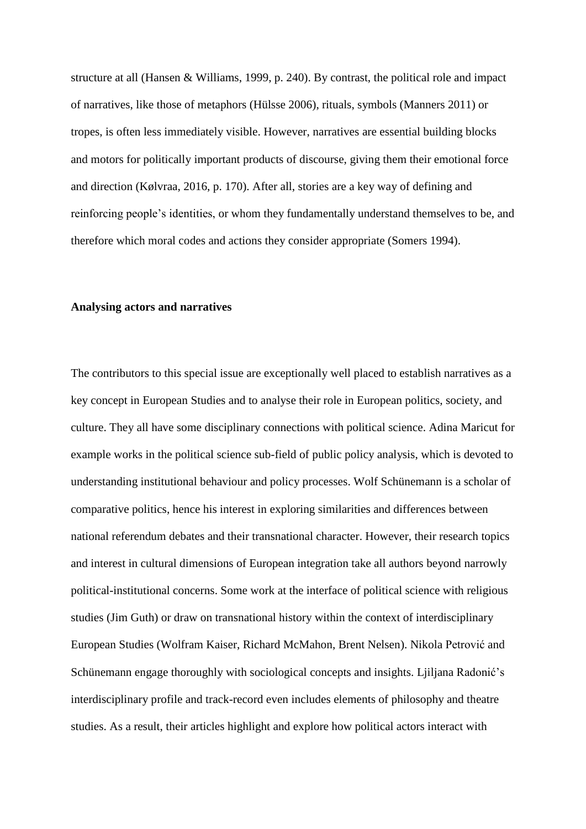structure at all (Hansen & Williams, 1999, p. 240). By contrast, the political role and impact of narratives, like those of metaphors (Hülsse 2006), rituals, symbols (Manners 2011) or tropes, is often less immediately visible. However, narratives are essential building blocks and motors for politically important products of discourse, giving them their emotional force and direction (Kølvraa, 2016, p. 170). After all, stories are a key way of defining and reinforcing people's identities, or whom they fundamentally understand themselves to be, and therefore which moral codes and actions they consider appropriate (Somers 1994).

### **Analysing actors and narratives**

The contributors to this special issue are exceptionally well placed to establish narratives as a key concept in European Studies and to analyse their role in European politics, society, and culture. They all have some disciplinary connections with political science. Adina Maricut for example works in the political science sub-field of public policy analysis, which is devoted to understanding institutional behaviour and policy processes. Wolf Schünemann is a scholar of comparative politics, hence his interest in exploring similarities and differences between national referendum debates and their transnational character. However, their research topics and interest in cultural dimensions of European integration take all authors beyond narrowly political-institutional concerns. Some work at the interface of political science with religious studies (Jim Guth) or draw on transnational history within the context of interdisciplinary European Studies (Wolfram Kaiser, Richard McMahon, Brent Nelsen). Nikola Petrović and Schünemann engage thoroughly with sociological concepts and insights. Ljiljana Radonić's interdisciplinary profile and track-record even includes elements of philosophy and theatre studies. As a result, their articles highlight and explore how political actors interact with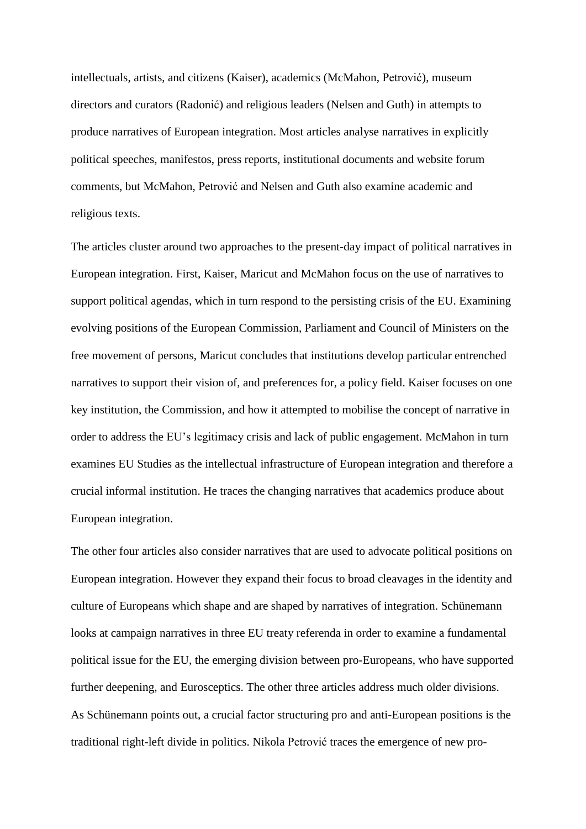intellectuals, artists, and citizens (Kaiser), academics (McMahon, Petrović), museum directors and curators (Radonić) and religious leaders (Nelsen and Guth) in attempts to produce narratives of European integration. Most articles analyse narratives in explicitly political speeches, manifestos, press reports, institutional documents and website forum comments, but McMahon, Petrović and Nelsen and Guth also examine academic and religious texts.

The articles cluster around two approaches to the present-day impact of political narratives in European integration. First, Kaiser, Maricut and McMahon focus on the use of narratives to support political agendas, which in turn respond to the persisting crisis of the EU. Examining evolving positions of the European Commission, Parliament and Council of Ministers on the free movement of persons, Maricut concludes that institutions develop particular entrenched narratives to support their vision of, and preferences for, a policy field. Kaiser focuses on one key institution, the Commission, and how it attempted to mobilise the concept of narrative in order to address the EU's legitimacy crisis and lack of public engagement. McMahon in turn examines EU Studies as the intellectual infrastructure of European integration and therefore a crucial informal institution. He traces the changing narratives that academics produce about European integration.

The other four articles also consider narratives that are used to advocate political positions on European integration. However they expand their focus to broad cleavages in the identity and culture of Europeans which shape and are shaped by narratives of integration. Schünemann looks at campaign narratives in three EU treaty referenda in order to examine a fundamental political issue for the EU, the emerging division between pro-Europeans, who have supported further deepening, and Eurosceptics. The other three articles address much older divisions. As Schünemann points out, a crucial factor structuring pro and anti-European positions is the traditional right-left divide in politics. Nikola Petrović traces the emergence of new pro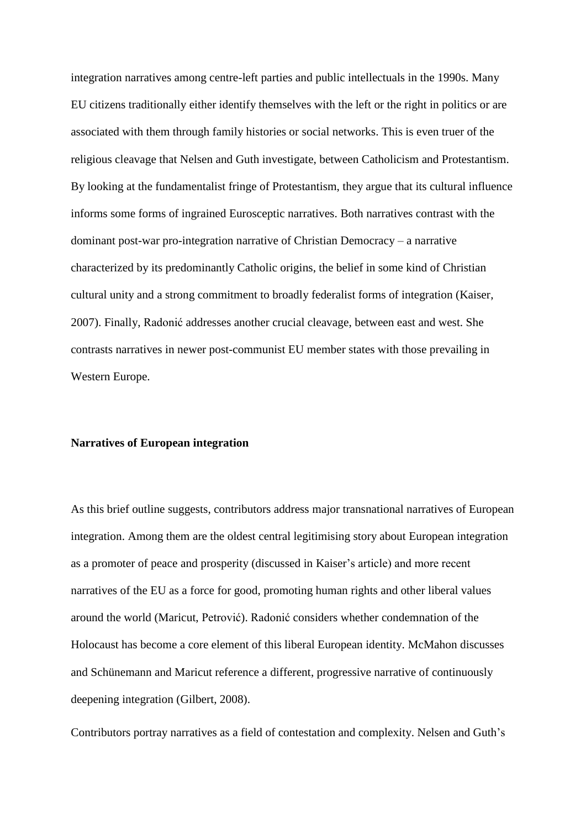integration narratives among centre-left parties and public intellectuals in the 1990s. Many EU citizens traditionally either identify themselves with the left or the right in politics or are associated with them through family histories or social networks. This is even truer of the religious cleavage that Nelsen and Guth investigate, between Catholicism and Protestantism. By looking at the fundamentalist fringe of Protestantism, they argue that its cultural influence informs some forms of ingrained Eurosceptic narratives. Both narratives contrast with the dominant post-war pro-integration narrative of Christian Democracy – a narrative characterized by its predominantly Catholic origins, the belief in some kind of Christian cultural unity and a strong commitment to broadly federalist forms of integration (Kaiser, 2007). Finally, Radonić addresses another crucial cleavage, between east and west. She contrasts narratives in newer post-communist EU member states with those prevailing in Western Europe.

## **Narratives of European integration**

As this brief outline suggests, contributors address major transnational narratives of European integration. Among them are the oldest central legitimising story about European integration as a promoter of peace and prosperity (discussed in Kaiser's article) and more recent narratives of the EU as a force for good, promoting human rights and other liberal values around the world (Maricut, Petrović). Radonić considers whether condemnation of the Holocaust has become a core element of this liberal European identity. McMahon discusses and Schünemann and Maricut reference a different, progressive narrative of continuously deepening integration (Gilbert, 2008).

Contributors portray narratives as a field of contestation and complexity. Nelsen and Guth's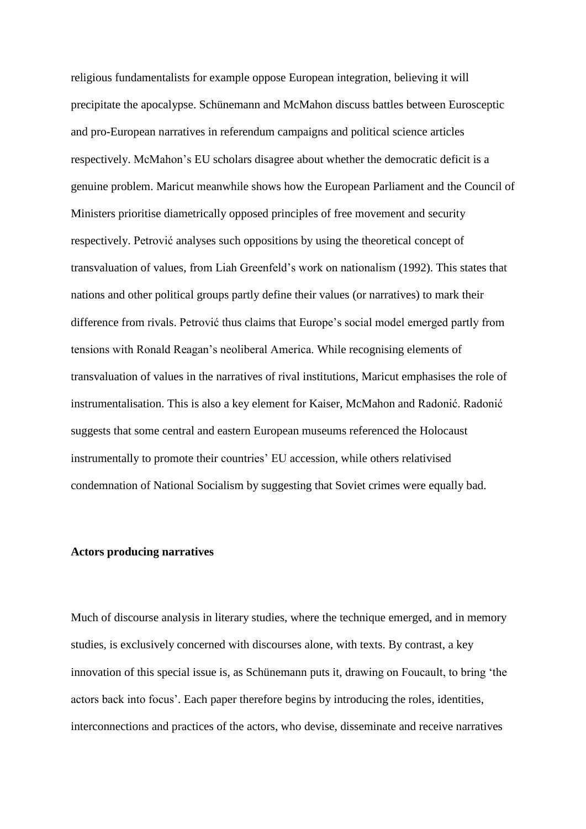religious fundamentalists for example oppose European integration, believing it will precipitate the apocalypse. Schünemann and McMahon discuss battles between Eurosceptic and pro-European narratives in referendum campaigns and political science articles respectively. McMahon's EU scholars disagree about whether the democratic deficit is a genuine problem. Maricut meanwhile shows how the European Parliament and the Council of Ministers prioritise diametrically opposed principles of free movement and security respectively. Petrović analyses such oppositions by using the theoretical concept of transvaluation of values, from Liah Greenfeld's work on nationalism (1992). This states that nations and other political groups partly define their values (or narratives) to mark their difference from rivals. Petrović thus claims that Europe's social model emerged partly from tensions with Ronald Reagan's neoliberal America. While recognising elements of transvaluation of values in the narratives of rival institutions, Maricut emphasises the role of instrumentalisation. This is also a key element for Kaiser, McMahon and Radonić. Radonić suggests that some central and eastern European museums referenced the Holocaust instrumentally to promote their countries' EU accession, while others relativised condemnation of National Socialism by suggesting that Soviet crimes were equally bad.

# **Actors producing narratives**

Much of discourse analysis in literary studies, where the technique emerged, and in memory studies, is exclusively concerned with discourses alone, with texts. By contrast, a key innovation of this special issue is, as Schünemann puts it, drawing on Foucault, to bring 'the actors back into focus'. Each paper therefore begins by introducing the roles, identities, interconnections and practices of the actors, who devise, disseminate and receive narratives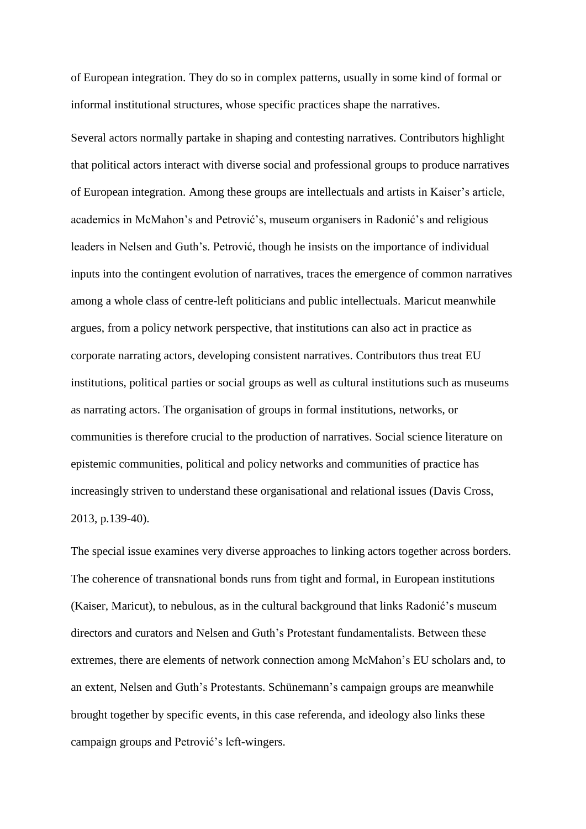of European integration. They do so in complex patterns, usually in some kind of formal or informal institutional structures, whose specific practices shape the narratives.

Several actors normally partake in shaping and contesting narratives. Contributors highlight that political actors interact with diverse social and professional groups to produce narratives of European integration. Among these groups are intellectuals and artists in Kaiser's article, academics in McMahon's and Petrović's, museum organisers in Radonić's and religious leaders in Nelsen and Guth's. Petrović, though he insists on the importance of individual inputs into the contingent evolution of narratives, traces the emergence of common narratives among a whole class of centre-left politicians and public intellectuals. Maricut meanwhile argues, from a policy network perspective, that institutions can also act in practice as corporate narrating actors, developing consistent narratives. Contributors thus treat EU institutions, political parties or social groups as well as cultural institutions such as museums as narrating actors. The organisation of groups in formal institutions, networks, or communities is therefore crucial to the production of narratives. Social science literature on epistemic communities, political and policy networks and communities of practice has increasingly striven to understand these organisational and relational issues (Davis Cross, 2013, p.139-40).

The special issue examines very diverse approaches to linking actors together across borders. The coherence of transnational bonds runs from tight and formal, in European institutions (Kaiser, Maricut), to nebulous, as in the cultural background that links Radonić's museum directors and curators and Nelsen and Guth's Protestant fundamentalists. Between these extremes, there are elements of network connection among McMahon's EU scholars and, to an extent, Nelsen and Guth's Protestants. Schünemann's campaign groups are meanwhile brought together by specific events, in this case referenda, and ideology also links these campaign groups and Petrović's left-wingers.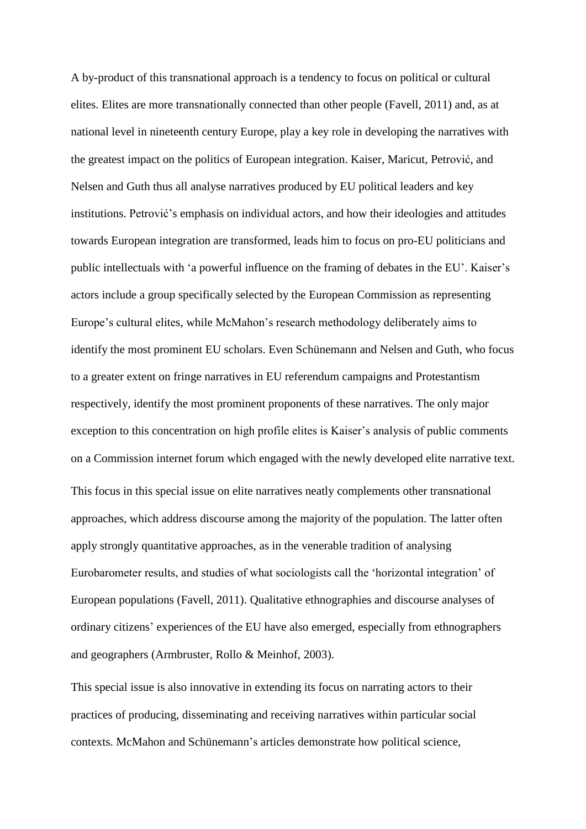A by-product of this transnational approach is a tendency to focus on political or cultural elites. Elites are more transnationally connected than other people (Favell, 2011) and, as at national level in nineteenth century Europe, play a key role in developing the narratives with the greatest impact on the politics of European integration. Kaiser, Maricut, Petrović, and Nelsen and Guth thus all analyse narratives produced by EU political leaders and key institutions. Petrović's emphasis on individual actors, and how their ideologies and attitudes towards European integration are transformed, leads him to focus on pro-EU politicians and public intellectuals with 'a powerful influence on the framing of debates in the EU'. Kaiser's actors include a group specifically selected by the European Commission as representing Europe's cultural elites, while McMahon's research methodology deliberately aims to identify the most prominent EU scholars. Even Schünemann and Nelsen and Guth, who focus to a greater extent on fringe narratives in EU referendum campaigns and Protestantism respectively, identify the most prominent proponents of these narratives. The only major exception to this concentration on high profile elites is Kaiser's analysis of public comments on a Commission internet forum which engaged with the newly developed elite narrative text. This focus in this special issue on elite narratives neatly complements other transnational approaches, which address discourse among the majority of the population. The latter often apply strongly quantitative approaches, as in the venerable tradition of analysing Eurobarometer results, and studies of what sociologists call the 'horizontal integration' of European populations (Favell, 2011). Qualitative ethnographies and discourse analyses of ordinary citizens' experiences of the EU have also emerged, especially from ethnographers and geographers (Armbruster, Rollo & Meinhof, 2003).

This special issue is also innovative in extending its focus on narrating actors to their practices of producing, disseminating and receiving narratives within particular social contexts. McMahon and Schünemann's articles demonstrate how political science,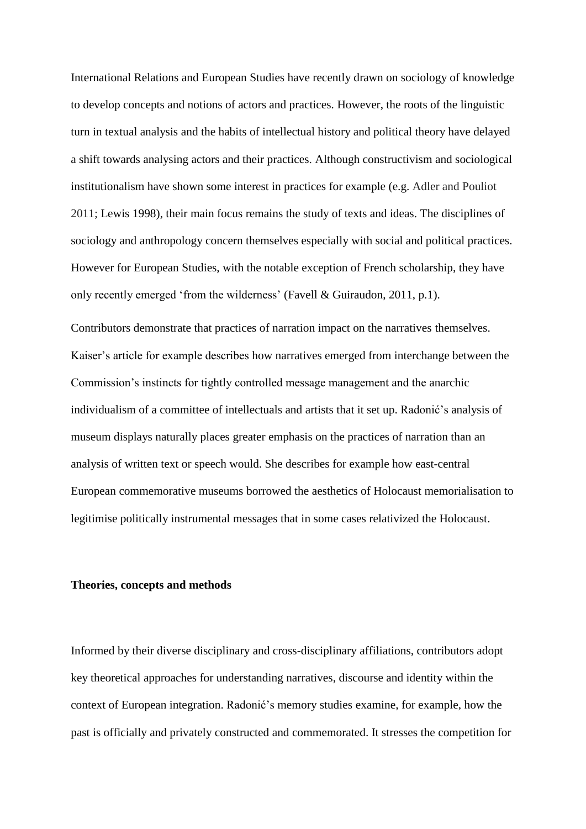International Relations and European Studies have recently drawn on sociology of knowledge to develop concepts and notions of actors and practices. However, the roots of the linguistic turn in textual analysis and the habits of intellectual history and political theory have delayed a shift towards analysing actors and their practices. Although constructivism and sociological institutionalism have shown some interest in practices for example (e.g. Adler and Pouliot 2011; Lewis 1998), their main focus remains the study of texts and ideas. The disciplines of sociology and anthropology concern themselves especially with social and political practices. However for European Studies, with the notable exception of French scholarship, they have only recently emerged 'from the wilderness' (Favell & Guiraudon, 2011, p.1).

Contributors demonstrate that practices of narration impact on the narratives themselves. Kaiser's article for example describes how narratives emerged from interchange between the Commission's instincts for tightly controlled message management and the anarchic individualism of a committee of intellectuals and artists that it set up. Radonić's analysis of museum displays naturally places greater emphasis on the practices of narration than an analysis of written text or speech would. She describes for example how east-central European commemorative museums borrowed the aesthetics of Holocaust memorialisation to legitimise politically instrumental messages that in some cases relativized the Holocaust.

#### **Theories, concepts and methods**

Informed by their diverse disciplinary and cross-disciplinary affiliations, contributors adopt key theoretical approaches for understanding narratives, discourse and identity within the context of European integration. Radonić's memory studies examine, for example, how the past is officially and privately constructed and commemorated. It stresses the competition for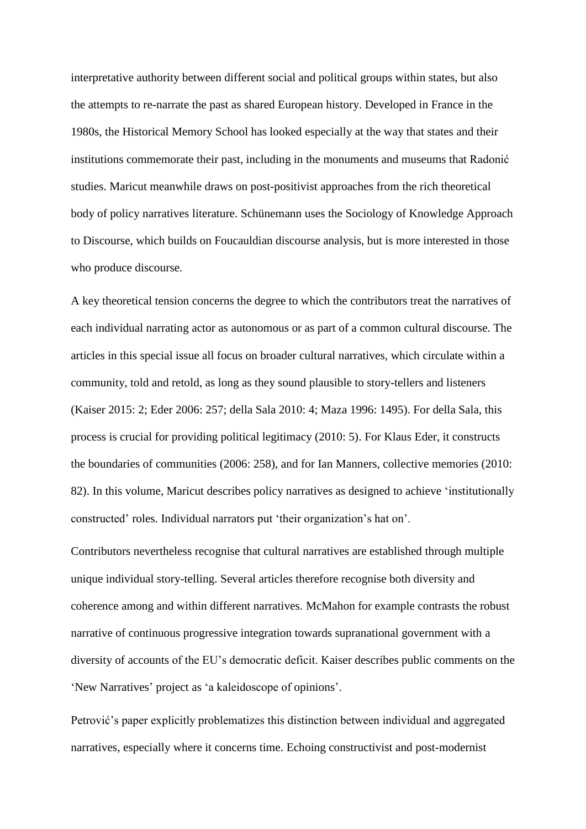interpretative authority between different social and political groups within states, but also the attempts to re-narrate the past as shared European history. Developed in France in the 1980s, the Historical Memory School has looked especially at the way that states and their institutions commemorate their past, including in the monuments and museums that Radonić studies. Maricut meanwhile draws on post-positivist approaches from the rich theoretical body of policy narratives literature. Schünemann uses the Sociology of Knowledge Approach to Discourse, which builds on Foucauldian discourse analysis, but is more interested in those who produce discourse.

A key theoretical tension concerns the degree to which the contributors treat the narratives of each individual narrating actor as autonomous or as part of a common cultural discourse. The articles in this special issue all focus on broader cultural narratives, which circulate within a community, told and retold, as long as they sound plausible to story-tellers and listeners (Kaiser 2015: 2; Eder 2006: 257; della Sala 2010: 4; Maza 1996: 1495). For della Sala, this process is crucial for providing political legitimacy (2010: 5). For Klaus Eder, it constructs the boundaries of communities (2006: 258), and for Ian Manners, collective memories (2010: 82). In this volume, Maricut describes policy narratives as designed to achieve 'institutionally constructed' roles. Individual narrators put 'their organization's hat on'.

Contributors nevertheless recognise that cultural narratives are established through multiple unique individual story-telling. Several articles therefore recognise both diversity and coherence among and within different narratives. McMahon for example contrasts the robust narrative of continuous progressive integration towards supranational government with a diversity of accounts of the EU's democratic deficit. Kaiser describes public comments on the 'New Narratives' project as 'a kaleidoscope of opinions'.

Petrović's paper explicitly problematizes this distinction between individual and aggregated narratives, especially where it concerns time. Echoing constructivist and post-modernist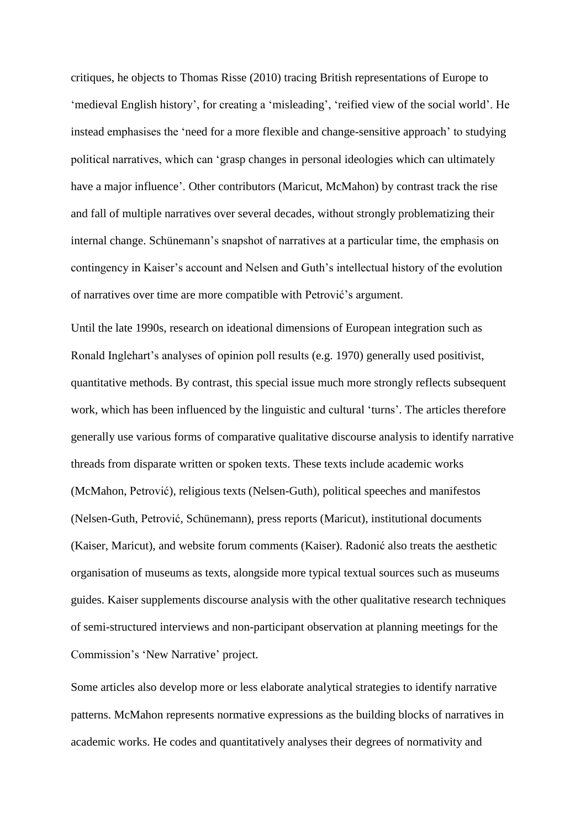critiques, he objects to Thomas Risse (2010) tracing British representations of Europe to 'medieval English history', for creating a 'misleading', 'reified view of the social world'. He instead emphasises the 'need for a more flexible and change-sensitive approach' to studying political narratives, which can 'grasp changes in personal ideologies which can ultimately have a major influence'. Other contributors (Maricut, McMahon) by contrast track the rise and fall of multiple narratives over several decades, without strongly problematizing their internal change. Schünemann's snapshot of narratives at a particular time, the emphasis on contingency in Kaiser's account and Nelsen and Guth's intellectual history of the evolution of narratives over time are more compatible with Petrović's argument.

Until the late 1990s, research on ideational dimensions of European integration such as Ronald Inglehart's analyses of opinion poll results (e.g. 1970) generally used positivist, quantitative methods. By contrast, this special issue much more strongly reflects subsequent work, which has been influenced by the linguistic and cultural 'turns'. The articles therefore generally use various forms of comparative qualitative discourse analysis to identify narrative threads from disparate written or spoken texts. These texts include academic works (McMahon, Petrović), religious texts (Nelsen-Guth), political speeches and manifestos (Nelsen-Guth, Petrović, Schünemann), press reports (Maricut), institutional documents (Kaiser, Maricut), and website forum comments (Kaiser). Radonić also treats the aesthetic organisation of museums as texts, alongside more typical textual sources such as museums guides. Kaiser supplements discourse analysis with the other qualitative research techniques of semi-structured interviews and non-participant observation at planning meetings for the Commission's 'New Narrative' project.

Some articles also develop more or less elaborate analytical strategies to identify narrative patterns. McMahon represents normative expressions as the building blocks of narratives in academic works. He codes and quantitatively analyses their degrees of normativity and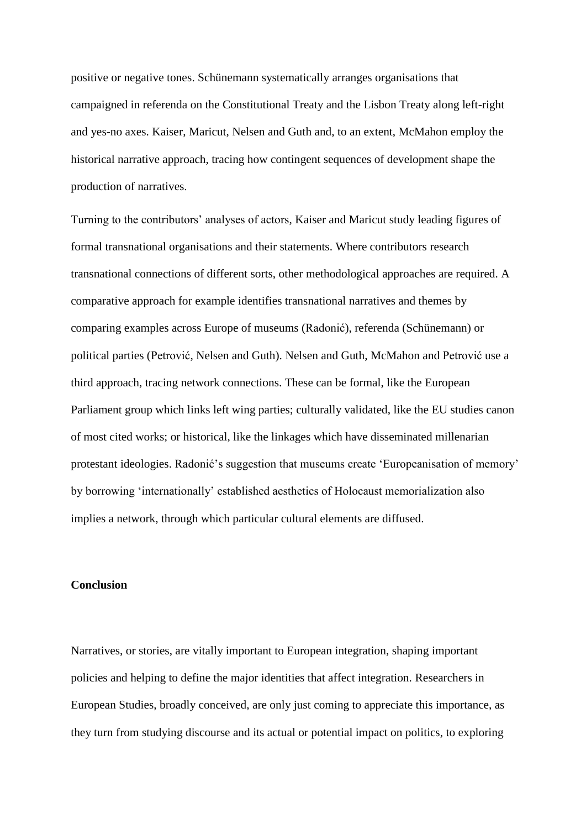positive or negative tones. Schünemann systematically arranges organisations that campaigned in referenda on the Constitutional Treaty and the Lisbon Treaty along left-right and yes-no axes. Kaiser, Maricut, Nelsen and Guth and, to an extent, McMahon employ the historical narrative approach, tracing how contingent sequences of development shape the production of narratives.

Turning to the contributors' analyses of actors, Kaiser and Maricut study leading figures of formal transnational organisations and their statements. Where contributors research transnational connections of different sorts, other methodological approaches are required. A comparative approach for example identifies transnational narratives and themes by comparing examples across Europe of museums (Radonić), referenda (Schünemann) or political parties (Petrović, Nelsen and Guth). Nelsen and Guth, McMahon and Petrović use a third approach, tracing network connections. These can be formal, like the European Parliament group which links left wing parties; culturally validated, like the EU studies canon of most cited works; or historical, like the linkages which have disseminated millenarian protestant ideologies. Radonić's suggestion that museums create 'Europeanisation of memory' by borrowing 'internationally' established aesthetics of Holocaust memorialization also implies a network, through which particular cultural elements are diffused.

## **Conclusion**

Narratives, or stories, are vitally important to European integration, shaping important policies and helping to define the major identities that affect integration. Researchers in European Studies, broadly conceived, are only just coming to appreciate this importance, as they turn from studying discourse and its actual or potential impact on politics, to exploring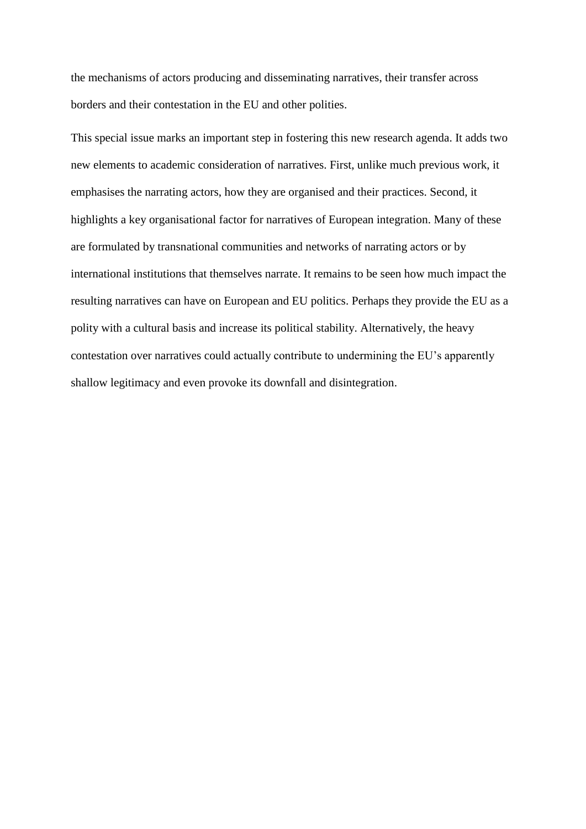the mechanisms of actors producing and disseminating narratives, their transfer across borders and their contestation in the EU and other polities.

This special issue marks an important step in fostering this new research agenda. It adds two new elements to academic consideration of narratives. First, unlike much previous work, it emphasises the narrating actors, how they are organised and their practices. Second, it highlights a key organisational factor for narratives of European integration. Many of these are formulated by transnational communities and networks of narrating actors or by international institutions that themselves narrate. It remains to be seen how much impact the resulting narratives can have on European and EU politics. Perhaps they provide the EU as a polity with a cultural basis and increase its political stability. Alternatively, the heavy contestation over narratives could actually contribute to undermining the EU's apparently shallow legitimacy and even provoke its downfall and disintegration.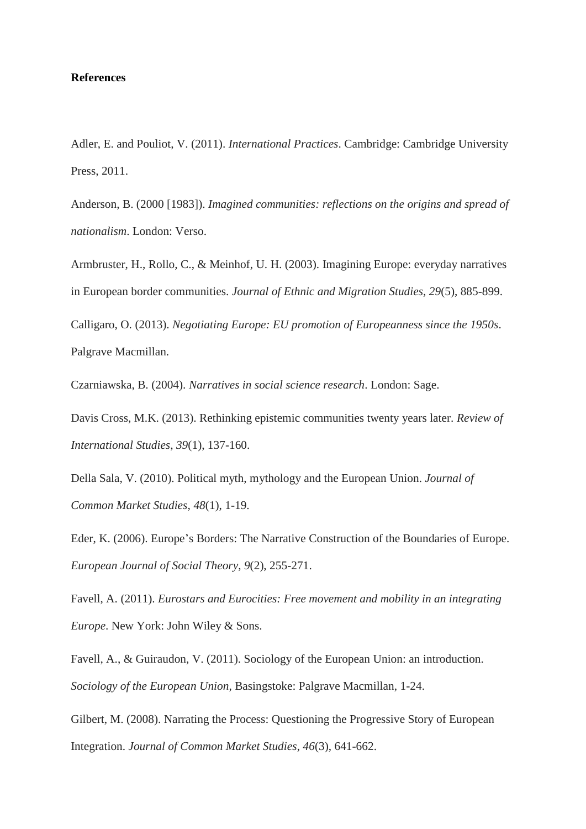# **References**

Adler, E. and Pouliot, V. (2011). *International Practices*. Cambridge: Cambridge University Press, 2011.

Anderson, B. (2000 [1983]). *Imagined communities: reflections on the origins and spread of nationalism*. London: Verso.

Armbruster, H., Rollo, C., & Meinhof, U. H. (2003). Imagining Europe: everyday narratives in European border communities. *Journal of Ethnic and Migration Studies*, *29*(5), 885-899.

Calligaro, O. (2013). *Negotiating Europe: EU promotion of Europeanness since the 1950s*. Palgrave Macmillan.

Czarniawska, B. (2004). *Narratives in social science research*. London: Sage.

Davis Cross, M.K. (2013). Rethinking epistemic communities twenty years later. *Review of International Studies*, *39*(1), 137-160.

Della Sala, V. (2010). Political myth, mythology and the European Union. *Journal of Common Market Studies*, *48*(1), 1-19.

Eder, K. (2006). Europe's Borders: The Narrative Construction of the Boundaries of Europe. *European Journal of Social Theory*, *9*(2), 255-271.

Favell, A. (2011). *Eurostars and Eurocities: Free movement and mobility in an integrating Europe*. New York: John Wiley & Sons.

Favell, A., & Guiraudon, V. (2011). Sociology of the European Union: an introduction. *Sociology of the European Union,* Basingstoke: Palgrave Macmillan, 1-24.

Gilbert, M. (2008). Narrating the Process: Questioning the Progressive Story of European Integration. *Journal of Common Market Studies*, *46*(3), 641-662.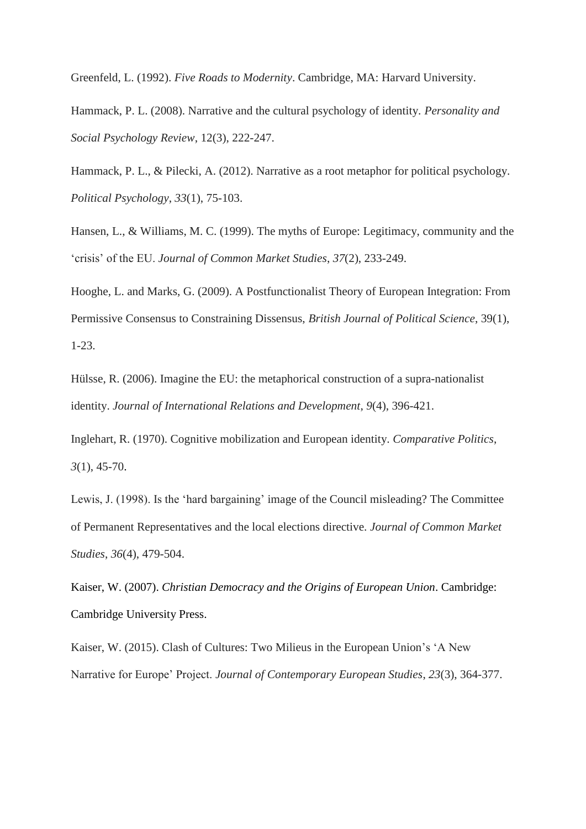Greenfeld, L. (1992). *Five Roads to Modernity*. Cambridge, MA: Harvard University.

Hammack, P. L. (2008). Narrative and the cultural psychology of identity. *Personality and Social Psychology Review*, 12(3), 222-247.

Hammack, P. L., & Pilecki, A. (2012). Narrative as a root metaphor for political psychology. *Political Psychology*, *33*(1), 75-103.

Hansen, L., & Williams, M. C. (1999). The myths of Europe: Legitimacy, community and the 'crisis' of the EU. *Journal of Common Market Studies*, *37*(2), 233-249.

Hooghe, L. and Marks, G. (2009). A Postfunctionalist Theory of European Integration: From Permissive Consensus to Constraining Dissensus, *British Journal of Political Science*, 39(1), 1-23.

Hülsse, R. (2006). Imagine the EU: the metaphorical construction of a supra-nationalist identity. *Journal of International Relations and Development*, *9*(4), 396-421.

Inglehart, R. (1970). Cognitive mobilization and European identity. *Comparative Politics*, *3*(1), 45-70.

Lewis, J. (1998). Is the 'hard bargaining' image of the Council misleading? The Committee of Permanent Representatives and the local elections directive. *Journal of Common Market Studies*, *36*(4), 479-504.

Kaiser, W. (2007). *Christian Democracy and the Origins of European Union*. Cambridge: Cambridge University Press.

Kaiser, W. (2015). Clash of Cultures: Two Milieus in the European Union's 'A New Narrative for Europe' Project. *Journal of Contemporary European Studies*, *23*(3), 364-377.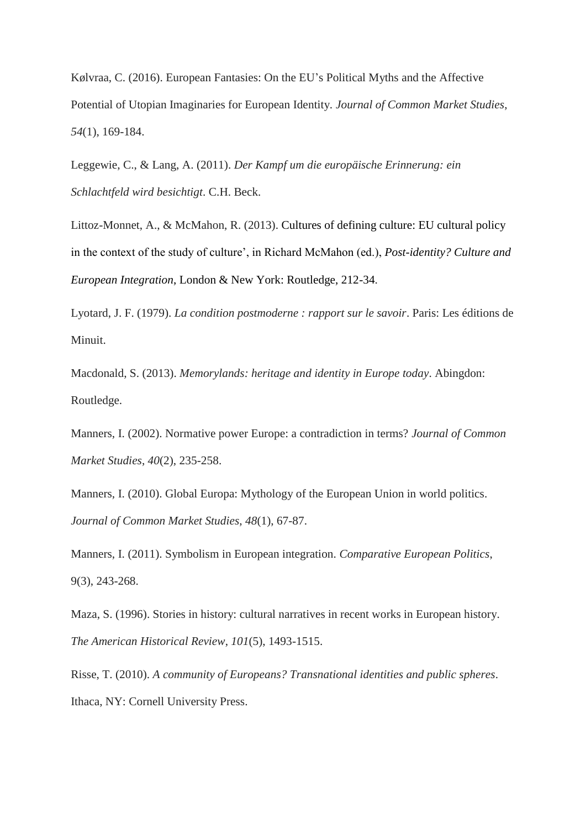Kølvraa, C. (2016). European Fantasies: On the EU's Political Myths and the Affective Potential of Utopian Imaginaries for European Identity. *Journal of Common Market Studies*, *54*(1), 169-184.

Leggewie, C., & Lang, A. (2011). *Der Kampf um die europäische Erinnerung: ein Schlachtfeld wird besichtigt*. C.H. Beck.

Littoz-Monnet, A., & McMahon, R. (2013). Cultures of defining culture: EU cultural policy in the context of the study of culture', in Richard McMahon (ed.), *Post-identity? Culture and European Integration*, London & New York: Routledge, 212-34.

Lyotard, J. F. (1979). *La condition postmoderne : rapport sur le savoir*. Paris: Les éditions de Minuit.

Macdonald, S. (2013). *Memorylands: heritage and identity in Europe today*. Abingdon: Routledge.

Manners, I. (2002). Normative power Europe: a contradiction in terms? *Journal of Common Market Studies*, *40*(2), 235-258.

Manners, I. (2010). Global Europa: Mythology of the European Union in world politics. *Journal of Common Market Studies*, *48*(1), 67-87.

Manners, I. (2011). Symbolism in European integration. *Comparative European Politics*, 9(3), 243-268.

Maza, S. (1996). Stories in history: cultural narratives in recent works in European history. *The American Historical Review*, *101*(5), 1493-1515.

Risse, T. (2010). *A community of Europeans? Transnational identities and public spheres*. Ithaca, NY: Cornell University Press.